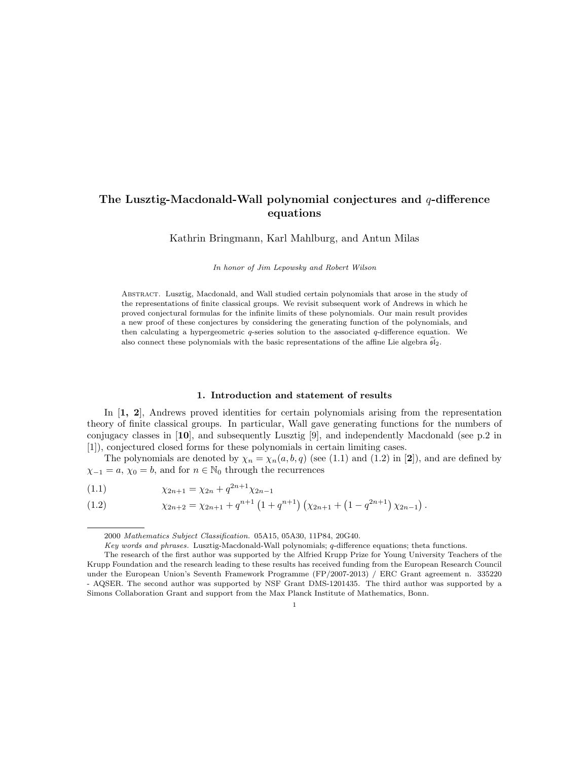# The Lusztig-Macdonald-Wall polynomial conjectures and  $q$ -difference equations

Kathrin Bringmann, Karl Mahlburg, and Antun Milas

In honor of Jim Lepowsky and Robert Wilson

Abstract. Lusztig, Macdonald, and Wall studied certain polynomials that arose in the study of the representations of finite classical groups. We revisit subsequent work of Andrews in which he proved conjectural formulas for the infinite limits of these polynomials. Our main result provides a new proof of these conjectures by considering the generating function of the polynomials, and then calculating a hypergeometric  $q$ -series solution to the associated  $q$ -difference equation. We also connect these polynomials with the basic representations of the affine Lie algebra  $\widehat{\mathfrak{sl}}_2$ .

## 1. Introduction and statement of results

In [1, 2], Andrews proved identities for certain polynomials arising from the representation theory of finite classical groups. In particular, Wall gave generating functions for the numbers of conjugacy classes in [10], and subsequently Lusztig [9], and independently Macdonald (see p.2 in [1]), conjectured closed forms for these polynomials in certain limiting cases.

The polynomials are denoted by  $\chi_n = \chi_n(a, b, q)$  (see (1.1) and (1.2) in [2]), and are defined by  $\chi_{-1} = a, \chi_0 = b$ , and for  $n \in \mathbb{N}_0$  through the recurrences

(1.1)  $\chi_{2n+1} = \chi_{2n} + q^{2n+1}\chi_{2n-1}$ 

(1.2) 
$$
\chi_{2n+2} = \chi_{2n+1} + q^{n+1} \left(1 + q^{n+1}\right) \left(\chi_{2n+1} + \left(1 - q^{2n+1}\right) \chi_{2n-1}\right).
$$

1

<sup>2000</sup> Mathematics Subject Classification. 05A15, 05A30, 11P84, 20G40.

Key words and phrases. Lusztig-Macdonald-Wall polynomials; q-difference equations; theta functions.

The research of the first author was supported by the Alfried Krupp Prize for Young University Teachers of the Krupp Foundation and the research leading to these results has received funding from the European Research Council under the European Union's Seventh Framework Programme (FP/2007-2013) / ERC Grant agreement n. 335220 - AQSER. The second author was supported by NSF Grant DMS-1201435. The third author was supported by a Simons Collaboration Grant and support from the Max Planck Institute of Mathematics, Bonn.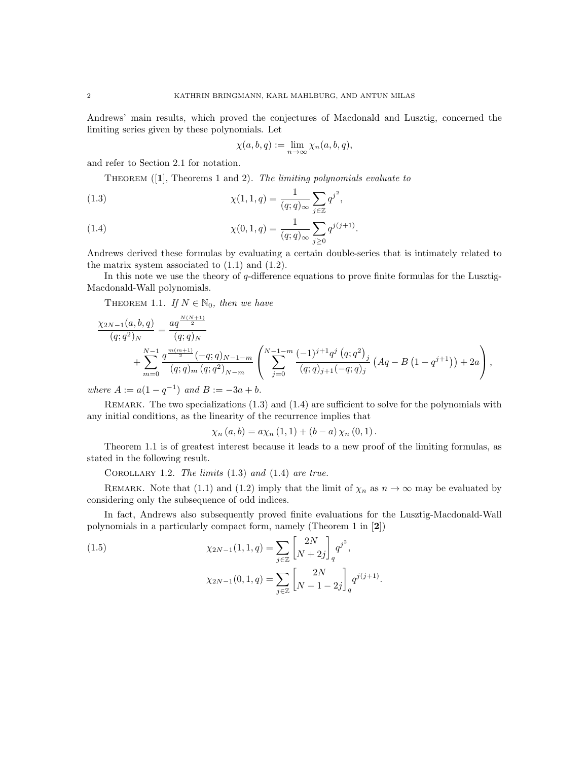Andrews' main results, which proved the conjectures of Macdonald and Lusztig, concerned the limiting series given by these polynomials. Let

$$
\chi(a,b,q) := \lim_{n \to \infty} \chi_n(a,b,q),
$$

and refer to Section 2.1 for notation.

Theorem ([1], Theorems 1 and 2). The limiting polynomials evaluate to

(1.3) 
$$
\chi(1, 1, q) = \frac{1}{(q; q)_{\infty}} \sum_{j \in \mathbb{Z}} q^{j^2},
$$

(1.4) 
$$
\chi(0, 1, q) = \frac{1}{(q; q)_{\infty}} \sum_{j \ge 0} q^{j(j+1)}.
$$

Andrews derived these formulas by evaluating a certain double-series that is intimately related to the matrix system associated to  $(1.1)$  and  $(1.2)$ .

In this note we use the theory of  $q$ -difference equations to prove finite formulas for the Lusztig-Macdonald-Wall polynomials.

THEOREM 1.1. If  $N \in \mathbb{N}_0$ , then we have

$$
\frac{\chi_{2N-1}(a,b,q)}{(q;q^2)_N} = \frac{aq^{\frac{N(N+1)}{2}}}{(q;q)_N} + \sum_{m=0}^{N-1} \frac{q^{\frac{m(m+1)}{2}}(-q;q)_{N-1-m}}{(q;q)_m (q;q^2)_{N-m}} \left( \sum_{j=0}^{N-1-m} \frac{(-1)^{j+1}q^j (q;q^2)_j}{(q;q)_{j+1}(-q;q)_j} (Aq - B (1 - q^{j+1})) + 2a \right),
$$

where  $A := a(1 - q^{-1})$  and  $B := -3a + b$ .

REMARK. The two specializations  $(1.3)$  and  $(1.4)$  are sufficient to solve for the polynomials with any initial conditions, as the linearity of the recurrence implies that

$$
\chi_{n}(a,b) = a\chi_{n}(1,1) + (b-a)\chi_{n}(0,1).
$$

Theorem 1.1 is of greatest interest because it leads to a new proof of the limiting formulas, as stated in the following result.

COROLLARY 1.2. The limits  $(1.3)$  and  $(1.4)$  are true.

REMARK. Note that (1.1) and (1.2) imply that the limit of  $\chi_n$  as  $n \to \infty$  may be evaluated by considering only the subsequence of odd indices.

In fact, Andrews also subsequently proved finite evaluations for the Lusztig-Macdonald-Wall polynomials in a particularly compact form, namely (Theorem 1 in [2])

(1.5) 
$$
\chi_{2N-1}(1,1,q) = \sum_{j\in\mathbb{Z}} \begin{bmatrix} 2N \\ N+2j \end{bmatrix}_q q^{j^2},
$$

$$
\chi_{2N-1}(0,1,q) = \sum_{j\in\mathbb{Z}} \begin{bmatrix} 2N \\ N-1-2j \end{bmatrix}_q q^{j(j+1)}.
$$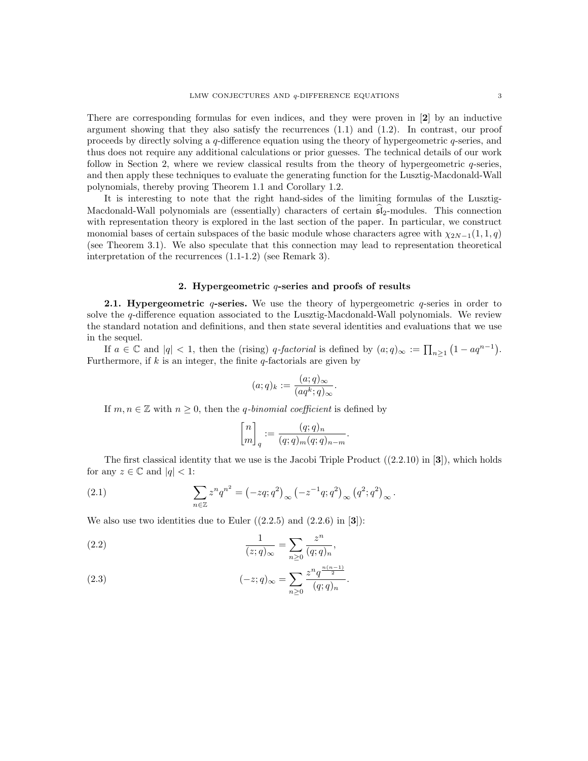There are corresponding formulas for even indices, and they were proven in [2] by an inductive argument showing that they also satisfy the recurrences  $(1.1)$  and  $(1.2)$ . In contrast, our proof proceeds by directly solving a q-difference equation using the theory of hypergeometric q-series, and thus does not require any additional calculations or prior guesses. The technical details of our work follow in Section 2, where we review classical results from the theory of hypergeometric q-series, and then apply these techniques to evaluate the generating function for the Lusztig-Macdonald-Wall polynomials, thereby proving Theorem 1.1 and Corollary 1.2.

It is interesting to note that the right hand-sides of the limiting formulas of the Lusztig-Macdonald-Wall polynomials are (essentially) characters of certain  $\mathfrak{sl}_2$ -modules. This connection with representation theory is explored in the last section of the paper. In particular, we construct monomial bases of certain subspaces of the basic module whose characters agree with  $\chi_{2N-1}(1, 1, q)$ (see Theorem 3.1). We also speculate that this connection may lead to representation theoretical interpretation of the recurrences (1.1-1.2) (see Remark 3).

### 2. Hypergeometric q-series and proofs of results

**2.1. Hypergeometric**  $q$ -series. We use the theory of hypergeometric  $q$ -series in order to solve the q-difference equation associated to the Lusztig-Macdonald-Wall polynomials. We review the standard notation and definitions, and then state several identities and evaluations that we use in the sequel.

If  $a \in \mathbb{C}$  and  $|q| < 1$ , then the (rising) q-factorial is defined by  $(a;q)_{\infty} := \prod_{n \geq 1} (1 - aq^{n-1}).$ Furthermore, if  $k$  is an integer, the finite  $q$ -factorials are given by

$$
(a;q)_k := \frac{(a;q)_{\infty}}{(aq^k;q)_{\infty}}.
$$

If  $m, n \in \mathbb{Z}$  with  $n \geq 0$ , then the *q*-binomial coefficient is defined by

$$
\begin{bmatrix} n \\ m \end{bmatrix}_q := \frac{(q;q)_n}{(q;q)_m(q;q)_{n-m}}.
$$

The first classical identity that we use is the Jacobi Triple Product  $((2.2.10)$  in [3]), which holds for any  $z \in \mathbb{C}$  and  $|q| < 1$ :

(2.1) 
$$
\sum_{n \in \mathbb{Z}} z^n q^{n^2} = (-zq; q^2)_{\infty} (-z^{-1}q; q^2)_{\infty} (q^2; q^2)_{\infty}.
$$

We also use two identities due to Euler  $((2.2.5)$  and  $(2.2.6)$  in  $\mathfrak{[3]})$ :

(2.2) 
$$
\frac{1}{(z;q)_{\infty}} = \sum_{n\geq 0} \frac{z^n}{(q;q)_n},
$$

(2.3) 
$$
(-z;q)_{\infty} = \sum_{n\geq 0} \frac{z^n q^{\frac{n(n-1)}{2}}}{(q;q)_n}.
$$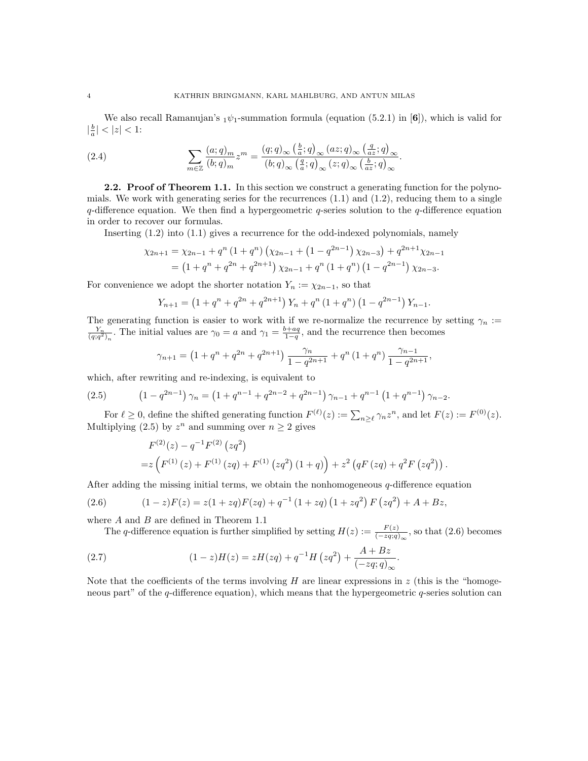We also recall Ramanujan's  $_1\psi_1$ -summation formula (equation (5.2.1) in [6]), which is valid for  $|\frac{b}{a}| < |z| < 1$ :

(2.4) 
$$
\sum_{m\in\mathbb{Z}}\frac{(a;q)_m}{(b;q)_m}z^m=\frac{(q;q)_\infty\left(\frac{b}{a};q\right)_\infty\left(az;q\right)_\infty\left(\frac{a}{a};q\right)_\infty}{(b;q)_\infty\left(\frac{a}{a};q\right)_\infty\left(z;q\right)_\infty\left(\frac{b}{a};q\right)_\infty}.
$$

2.2. Proof of Theorem 1.1. In this section we construct a generating function for the polynomials. We work with generating series for the recurrences  $(1.1)$  and  $(1.2)$ , reducing them to a single  $q$ -difference equation. We then find a hypergeometric  $q$ -series solution to the  $q$ -difference equation in order to recover our formulas.

Inserting (1.2) into (1.1) gives a recurrence for the odd-indexed polynomials, namely

$$
\chi_{2n+1} = \chi_{2n-1} + q^n (1+q^n) (\chi_{2n-1} + (1-q^{2n-1}) \chi_{2n-3}) + q^{2n+1} \chi_{2n-1}
$$
  
=  $(1+q^n+q^{2n}+q^{2n+1}) \chi_{2n-1} + q^n (1+q^n) (1-q^{2n-1}) \chi_{2n-3}.$ 

For convenience we adopt the shorter notation  $Y_n := \chi_{2n-1}$ , so that

$$
Y_{n+1} = \left(1 + q^{n} + q^{2n} + q^{2n+1}\right)Y_n + q^{n}\left(1 + q^{n}\right)\left(1 - q^{2n-1}\right)Y_{n-1}.
$$

The generating function is easier to work with if we re-normalize the recurrence by setting  $\gamma_n := \frac{Y_n}{(q;q^2)_n}$ . The initial values are  $\gamma_0 = a$  and  $\gamma_1 = \frac{b+aq}{1-q}$ , and the recurrence then becomes

$$
\gamma_{n+1} = \left(1 + q^n + q^{2n} + q^{2n+1}\right) \frac{\gamma_n}{1 - q^{2n+1}} + q^n \left(1 + q^n\right) \frac{\gamma_{n-1}}{1 - q^{2n+1}},
$$

which, after rewriting and re-indexing, is equivalent to

(2.5) 
$$
(1 - q^{2n-1}) \gamma_n = (1 + q^{n-1} + q^{2n-2} + q^{2n-1}) \gamma_{n-1} + q^{n-1} (1 + q^{n-1}) \gamma_{n-2}.
$$

For  $\ell \geq 0$ , define the shifted generating function  $F^{(\ell)}(z) := \sum_{n \geq \ell} \gamma_n z^n$ , and let  $F(z) := F^{(0)}(z)$ . Multiplying (2.5) by  $z^n$  and summing over  $n \geq 2$  gives

$$
F^{(2)}(z) - q^{-1} F^{(2)} (zq^2)
$$
  
=  $z \left( F^{(1)} (z) + F^{(1)} (zq) + F^{(1)} (zq^2) (1 + q) \right) + z^2 \left( qF (zq) + q^2 F (zq^2) \right).$ 

After adding the missing initial terms, we obtain the nonhomogeneous  $q$ -difference equation

(2.6) 
$$
(1-z)F(z) = z(1 + zq)F(zq) + q^{-1}(1 + zq) (1 + zq^2) F(zq^2) + A + Bz,
$$

where A and B are defined in Theorem 1.1

The q-difference equation is further simplified by setting  $H(z) := \frac{F(z)}{(-zq;q)_{\infty}}$ , so that (2.6) becomes

(2.7) 
$$
(1-z)H(z) = zH(zq) + q^{-1}H(zq^{2}) + \frac{A+Bz}{(-zq;q)_{\infty}}.
$$

Note that the coefficients of the terms involving  $H$  are linear expressions in  $z$  (this is the "homogeneous part" of the  $q$ -difference equation), which means that the hypergeometric  $q$ -series solution can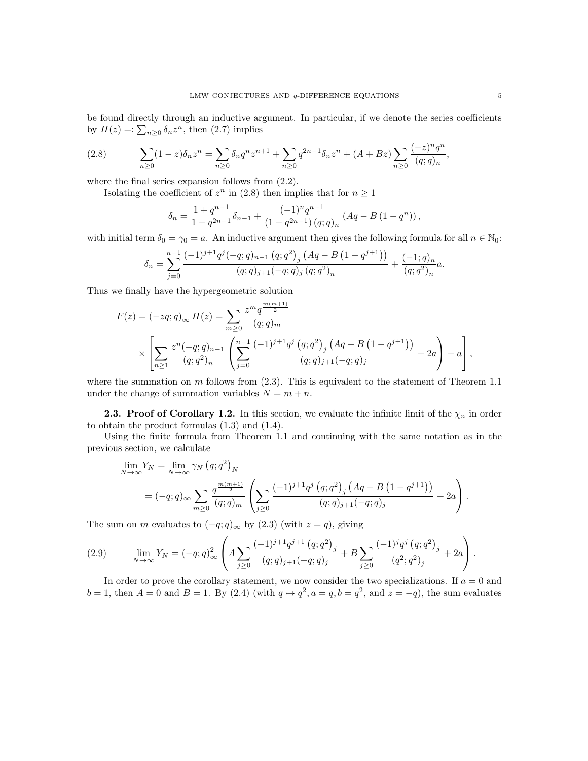be found directly through an inductive argument. In particular, if we denote the series coefficients by  $H(z) =: \sum_{n\geq 0} \delta_n z^n$ , then (2.7) implies

(2.8) 
$$
\sum_{n\geq 0} (1-z)\delta_n z^n = \sum_{n\geq 0} \delta_n q^n z^{n+1} + \sum_{n\geq 0} q^{2n-1} \delta_n z^n + (A+Bz) \sum_{n\geq 0} \frac{(-z)^n q^n}{(q;q)_n},
$$

where the final series expansion follows from (2.2).

Isolating the coefficient of  $z^n$  in (2.8) then implies that for  $n \geq 1$ 

$$
\delta_n = \frac{1 + q^{n-1}}{1 - q^{2n-1}} \delta_{n-1} + \frac{(-1)^n q^{n-1}}{(1 - q^{2n-1})(q;q)_n} (Aq - B(1 - q^n)),
$$

with initial term  $\delta_0 = \gamma_0 = a$ . An inductive argument then gives the following formula for all  $n \in \mathbb{N}_0$ :

$$
\delta_n = \sum_{j=0}^{n-1} \frac{(-1)^{j+1} q^j (-q;q)_{n-1} (q;q^2)_j (Aq - B(1 - q^{j+1}))}{(q;q)_{j+1} (-q;q)_j (q;q^2)_n} + \frac{(-1;q)_n}{(q;q^2)_n} a.
$$

Thus we finally have the hypergeometric solution

$$
F(z) = (-zq;q)_{\infty} H(z) = \sum_{m\geq 0} \frac{z^m q^{\frac{m(m+1)}{2}}}{(q;q)_m}
$$
  
 
$$
\times \left[ \sum_{n\geq 1} \frac{z^n (-q;q)_{n-1}}{(q;q^2)_n} \left( \sum_{j=0}^{n-1} \frac{(-1)^{j+1} q^j (q;q^2)_j (Aq - B (1 - q^{j+1}))}{(q;q)_{j+1}(-q;q)_j} + 2a \right) + a \right],
$$

where the summation on  $m$  follows from  $(2.3)$ . This is equivalent to the statement of Theorem 1.1 under the change of summation variables  $N = m + n$ .

**2.3. Proof of Corollary 1.2.** In this section, we evaluate the infinite limit of the  $\chi_n$  in order to obtain the product formulas (1.3) and (1.4).

Using the finite formula from Theorem 1.1 and continuing with the same notation as in the previous section, we calculate

$$
\lim_{N \to \infty} Y_N = \lim_{N \to \infty} \gamma_N (q; q^2)_N
$$
  
=  $(-q; q)_{\infty} \sum_{m \ge 0} \frac{q^{\frac{m(m+1)}{2}}}{(q; q)_m} \left( \sum_{j \ge 0} \frac{(-1)^{j+1} q^j (q; q^2)_j (Aq - B (1 - q^{j+1}))}{(q; q)_{j+1} (-q; q)_j} + 2a \right).$ 

The sum on m evaluates to  $(-q; q)_{\infty}$  by (2.3) (with  $z = q$ ), giving

(2.9) 
$$
\lim_{N \to \infty} Y_N = (-q;q)_\infty^2 \left( A \sum_{j \geq 0} \frac{(-1)^{j+1} q^{j+1} (q;q^2)_j}{(q;q)_{j+1}(-q;q)_j} + B \sum_{j \geq 0} \frac{(-1)^j q^j (q;q^2)_j}{(q^2;q^2)_j} + 2a \right).
$$

In order to prove the corollary statement, we now consider the two specializations. If  $a = 0$  and  $b = 1$ , then  $A = 0$  and  $B = 1$ . By (2.4) (with  $q \mapsto q^2$ ,  $a = q$ ,  $b = q^2$ , and  $z = -q$ ), the sum evaluates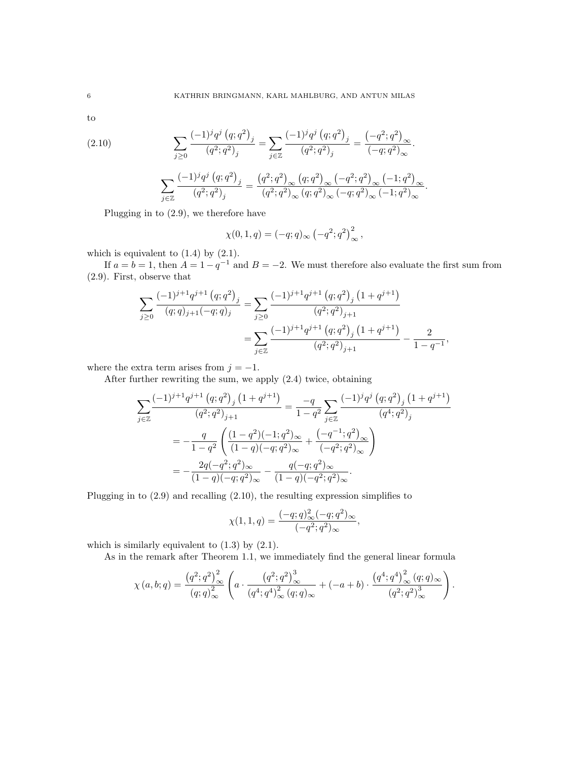to

(2.10) 
$$
\sum_{j\geq 0} \frac{(-1)^j q^j (q;q^2)_j}{(q^2;q^2)_j} = \sum_{j\in\mathbb{Z}} \frac{(-1)^j q^j (q;q^2)_j}{(q^2;q^2)_j} = \frac{(-q^2;q^2)_{\infty}}{(-q;q^2)_{\infty}}.
$$

$$
\sum_{j\in\mathbb{Z}} \frac{(-1)^j q^j (q;q^2)_j}{(q^2;q^2)_j} = \frac{(q^2;q^2)_{\infty} (q;q^2)_{\infty} (-q^2;q^2)_{\infty} (-1;q^2)_{\infty}}{(q^2;q^2)_{\infty} (q;q^2)_{\infty} (-q;q^2)_{\infty} (-1;q^2)_{\infty}}
$$

Plugging in to (2.9), we therefore have

$$
\chi(0,1,q) = (-q;q)_{\infty} (-q^2;q^2)_{\infty}^2,
$$

.

which is equivalent to  $(1.4)$  by  $(2.1)$ .

If  $a = b = 1$ , then  $A = 1 - q^{-1}$  and  $B = -2$ . We must therefore also evaluate the first sum from (2.9). First, observe that

$$
\sum_{j\geq 0} \frac{(-1)^{j+1}q^{j+1}(q;q^2)_j}{(q;q)_{j+1}(-q;q)_j} = \sum_{j\geq 0} \frac{(-1)^{j+1}q^{j+1}(q;q^2)_j(1+q^{j+1})}{(q^2;q^2)_{j+1}}
$$

$$
= \sum_{j\in \mathbb{Z}} \frac{(-1)^{j+1}q^{j+1}(q;q^2)_j(1+q^{j+1})}{(q^2;q^2)_{j+1}} - \frac{2}{1-q^{-1}},
$$

where the extra term arises from  $j = -1$ .

After further rewriting the sum, we apply (2.4) twice, obtaining

$$
\sum_{j\in\mathbb{Z}}\frac{(-1)^{j+1}q^{j+1}(q;q^2)_j(1+q^{j+1})}{(q^2;q^2)_{j+1}} = \frac{-q}{1-q^2}\sum_{j\in\mathbb{Z}}\frac{(-1)^jq^j(q;q^2)_j(1+q^{j+1})}{(q^4;q^2)_j}
$$

$$
= -\frac{q}{1-q^2}\left(\frac{(1-q^2)(-1;q^2)_{\infty}}{(1-q)(-q;q^2)_{\infty}} + \frac{(-q^{-1};q^2)_{\infty}}{(-q^2;q^2)_{\infty}}\right)
$$

$$
= -\frac{2q(-q^2;q^2)_{\infty}}{(1-q)(-q;q^2)_{\infty}} - \frac{q(-q;q^2)_{\infty}}{(1-q)(-q^2;q^2)_{\infty}}.
$$

Plugging in to (2.9) and recalling (2.10), the resulting expression simplifies to

$$
\chi(1, 1, q) = \frac{(-q; q)^2_{\infty}(-q; q^2)_{\infty}}{(-q^2; q^2)_{\infty}},
$$

which is similarly equivalent to  $(1.3)$  by  $(2.1)$ .

As in the remark after Theorem 1.1, we immediately find the general linear formula

$$
\chi(a,b;q) = \frac{(q^2;q^2)_{\infty}^2}{(q;q)_{\infty}^2} \left( a \cdot \frac{(q^2;q^2)_{\infty}^3}{(q^4;q^4)_{\infty}^2 (q;q)_{\infty}} + (-a+b) \cdot \frac{(q^4;q^4)_{\infty}^2 (q;q)_{\infty}}{(q^2;q^2)_{\infty}^3} \right).
$$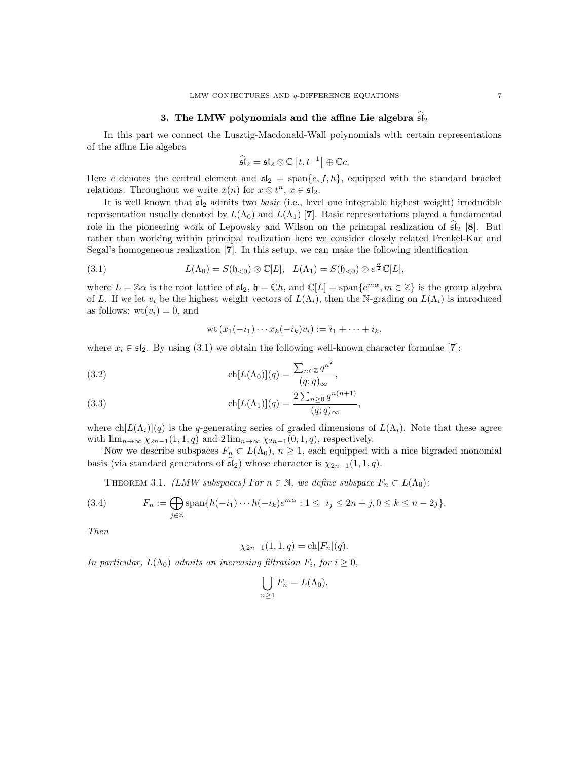## 3. The LMW polynomials and the affine Lie algebra  $\mathfrak{sl}_2$

In this part we connect the Lusztig-Macdonald-Wall polynomials with certain representations of the affine Lie algebra

$$
\widehat{\mathfrak{sl}}_2 = \mathfrak{sl}_2 \otimes \mathbb{C} \left[ t, t^{-1} \right] \oplus \mathbb{C}c.
$$

Here c denotes the central element and  $\mathfrak{sl}_2 = \text{span}\{e, f, h\}$ , equipped with the standard bracket relations. Throughout we write  $x(n)$  for  $x \otimes t^n$ ,  $x \in \mathfrak{sl}_2$ .

It is well known that  $sI_2$  admits two *basic* (i.e., level one integrable highest weight) irreducible representation usually denoted by  $L(\Lambda_0)$  and  $L(\Lambda_1)$  [7]. Basic representations played a fundamental role in the pioneering work of Lepowsky and Wilson on the principal realization of  $\hat{\mathfrak{sl}}_2$  [8]. But rather than working within principal realization here we consider closely related Frenkel-Kac and Segal's homogeneous realization [7]. In this setup, we can make the following identification

(3.1) 
$$
L(\Lambda_0) = S(\mathfrak{h}_{<0}) \otimes \mathbb{C}[L], \quad L(\Lambda_1) = S(\mathfrak{h}_{<0}) \otimes e^{\frac{\alpha}{2}} \mathbb{C}[L],
$$

where  $L = \mathbb{Z}\alpha$  is the root lattice of  $\mathfrak{sl}_2$ ,  $\mathfrak{h} = \mathbb{C}h$ , and  $\mathbb{C}[L] = \text{span}\{e^{m\alpha}, m \in \mathbb{Z}\}\$ is the group algebra of L. If we let  $v_i$  be the highest weight vectors of  $L(\Lambda_i)$ , then the N-grading on  $L(\Lambda_i)$  is introduced as follows:  $wt(v_i) = 0$ , and

$$
wt(x_1(-i_1)\cdots x_k(-i_k)v_i):=i_1+\cdots+i_k,
$$

where  $x_i \in \mathfrak{sl}_2$ . By using (3.1) we obtain the following well-known character formulae [7]:

(3.2) 
$$
\operatorname{ch}[L(\Lambda_0)](q) = \frac{\sum_{n \in \mathbb{Z}} q^{n^2}}{(q;q)_{\infty}},
$$

(3.3) 
$$
\operatorname{ch}[L(\Lambda_1)](q) = \frac{2\sum_{n\geq 0} q^{n(n+1)}}{(q;q)_{\infty}},
$$

where ch[ $L(\Lambda_i)(q)$  is the q-generating series of graded dimensions of  $L(\Lambda_i)$ . Note that these agree with  $\lim_{n\to\infty} \chi_{2n-1}(1,1,q)$  and  $2\lim_{n\to\infty} \chi_{2n-1}(0,1,q)$ , respectively.

Now we describe subspaces  $F_n \subset L(\Lambda_0)$ ,  $n \geq 1$ , each equipped with a nice bigraded monomial basis (via standard generators of  $\mathfrak{sl}_2$ ) whose character is  $\chi_{2n-1}(1, 1, q)$ .

THEOREM 3.1. (LMW subspaces) For  $n \in \mathbb{N}$ , we define subspace  $F_n \subset L(\Lambda_0)$ :

(3.4) 
$$
F_n := \bigoplus_{j \in \mathbb{Z}} \text{span}\{h(-i_1)\cdots h(-i_k)e^{m\alpha} : 1 \le i_j \le 2n + j, 0 \le k \le n - 2j\}.
$$

Then

$$
\chi_{2n-1}(1,1,q) = \text{ch}[F_n](q).
$$

In particular,  $L(\Lambda_0)$  admits an increasing filtration  $F_i$ , for  $i \geq 0$ ,

$$
\bigcup_{n\geq 1}F_n=L(\Lambda_0).
$$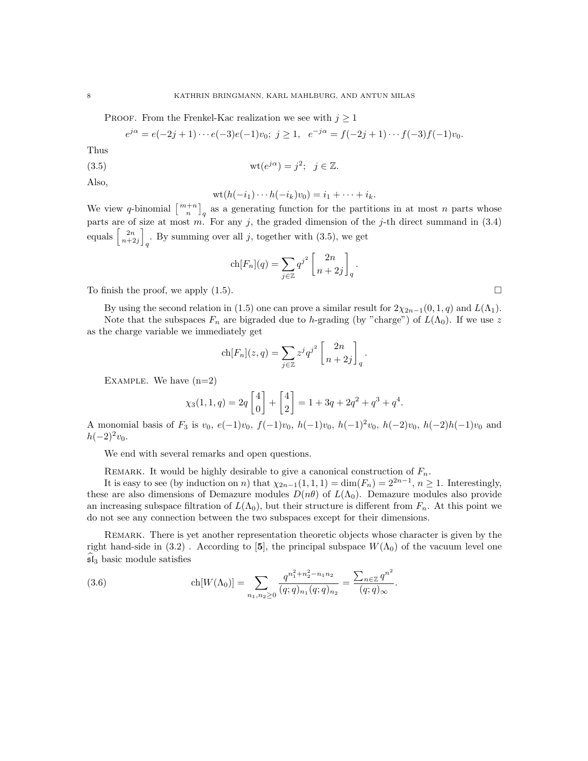PROOF. From the Frenkel-Kac realization we see with  $j \geq 1$ 

$$
e^{j\alpha} = e(-2j+1)\cdots e(-3)e(-1)v_0; \ j \ge 1, \ e^{-j\alpha} = f(-2j+1)\cdots f(-3)f(-1)v_0.
$$

Thus

(3.5) 
$$
\text{wt}(e^{j\alpha}) = j^2; \ \ j \in \mathbb{Z}.
$$

Also,

$$
wt(h(-i_1)\cdots h(-i_k)v_0)=i_1+\cdots+i_k.
$$

We view q-binomial  $\binom{m+n}{n}_q$  as a generating function for the partitions in at most n parts whose parts are of size at most  $m$ . For any j, the graded dimension of the j-th direct summand in (3.4) equals  $\begin{bmatrix} 2n \\ n+2j \end{bmatrix}$ . By summing over all j, together with (3.5), we get

$$
\operatorname{ch}[F_n](q) = \sum_{j \in \mathbb{Z}} q^{j^2} \begin{bmatrix} 2n \\ n+2j \end{bmatrix}_q
$$

.

To finish the proof, we apply  $(1.5)$ .

By using the second relation in (1.5) one can prove a similar result for  $2\chi_{2n-1}(0, 1, q)$  and  $L(\Lambda_1)$ . Note that the subspaces  $F_n$  are bigraded due to h-grading (by "charge") of  $L(\Lambda_0)$ . If we use z as the charge variable we immediately get

$$
\operatorname{ch}[F_n](z,q) = \sum_{j \in \mathbb{Z}} z^j q^{j^2} \begin{bmatrix} 2n \\ n+2j \end{bmatrix}_q.
$$

EXAMPLE. We have  $(n=2)$ 

$$
\chi_3(1,1,q) = 2q \begin{bmatrix} 4 \\ 0 \end{bmatrix} + \begin{bmatrix} 4 \\ 2 \end{bmatrix} = 1 + 3q + 2q^2 + q^3 + q^4.
$$

A monomial basis of  $F_3$  is  $v_0$ ,  $e(-1)v_0$ ,  $f(-1)v_0$ ,  $h(-1)v_0$ ,  $h(-1)^2v_0$ ,  $h(-2)v_0$ ,  $h(-2)h(-1)v_0$  and  $h(-2)^2v_0.$ 

We end with several remarks and open questions.

REMARK. It would be highly desirable to give a canonical construction of  $F_n$ .

It is easy to see (by induction on n) that  $\chi_{2n-1}(1,1,1) = \dim(F_n) = 2^{2n-1}, n \ge 1$ . Interestingly, these are also dimensions of Demazure modules  $D(n\theta)$  of  $L(\Lambda_0)$ . Demazure modules also provide an increasing subspace filtration of  $L(\Lambda_0)$ , but their structure is different from  $F_n$ . At this point we do not see any connection between the two subspaces except for their dimensions.

Remark. There is yet another representation theoretic objects whose character is given by the right hand-side in (3.2). According to [5], the principal subspace  $W(\Lambda_0)$  of the vacuum level one  $\mathfrak{sl}_3$  basic module satisfies

(3.6) 
$$
\operatorname{ch}[W(\Lambda_0)] = \sum_{n_1, n_2 \ge 0} \frac{q^{n_1^2 + n_2^2 - n_1 n_2}}{(q;q)_{n_1} (q;q)_{n_2}} = \frac{\sum_{n \in \mathbb{Z}} q^{n^2}}{(q;q)_{\infty}}.
$$